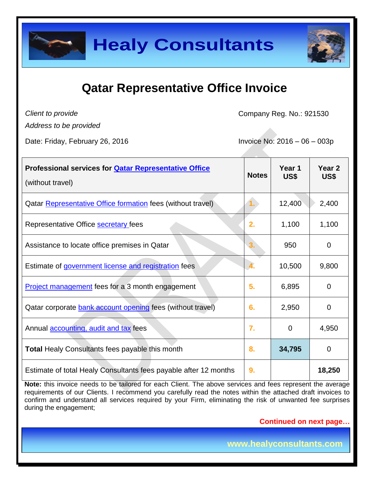

### **Qatar Representative Office Invoice**

*Client to provide* 

Company Reg. No.: 921530

*Address to be provided*

Date: Friday, February 26, 2016 **Invoice No: 2016** - 06 – 003p

| <b>Professional services for <b>Qatar Representative Office</b></b><br>(without travel) | <b>Notes</b> | Year 1<br>US\$ | Year <sub>2</sub><br>US\$ |
|-----------------------------------------------------------------------------------------|--------------|----------------|---------------------------|
| Qatar Representative Office formation fees (without travel)                             |              | 12,400         | 2,400                     |
| Representative Office secretary fees                                                    | 2.           | 1,100          | 1,100                     |
| Assistance to locate office premises in Qatar                                           | 3.           | 950            | 0                         |
| Estimate of government license and registration fees                                    | 4.           | 10,500         | 9,800                     |
| <b>Project management</b> fees for a 3 month engagement                                 | 5.           | 6,895          | 0                         |
| Qatar corporate bank account opening fees (without travel)                              | 6.           | 2,950          | 0                         |
| Annual <b>accounting</b> , audit and tax fees                                           | 7.           | $\mathbf 0$    | 4,950                     |
| <b>Total Healy Consultants fees payable this month</b>                                  | 8.           | 34,795         | $\overline{0}$            |
| Estimate of total Healy Consultants fees payable after 12 months                        | 9.           |                | 18,250                    |

**Note:** this invoice needs to be tailored for each Client. The above services and fees represent the average requirements of our Clients. I recommend you carefully read the notes within the attached draft invoices to confirm and understand all services required by your Firm, eliminating the risk of unwanted fee surprises during the engagement;

**Continued on next page…**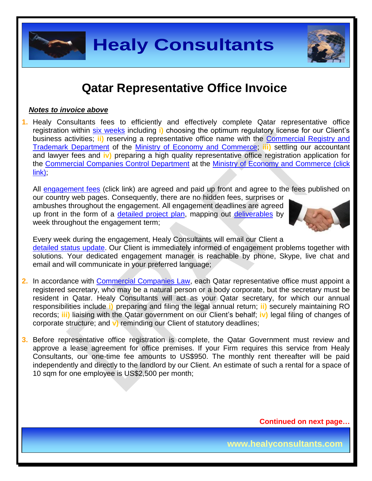

### **Qatar Representative Office Invoice**

#### *Notes to invoice above*

**1.** Healy Consultants fees to efficiently and effectively complete Qatar representative office registration within six [weeks](http://www.healyconsultants.com/qatar-company-registration/business-entity-types/) including **i)** choosing the optimum regulatory license for our Client's business activities; **ii)** reserving a representative office name with the [Commercial Registry and](http://www.mec.gov.qa/en/departments/administration_Trade/registration-and-license-business)  [Trademark Department](http://www.mec.gov.qa/en/departments/administration_Trade/registration-and-license-business) of the [Ministry of Economy and Commerce;](http://www.mec.gov.qa/en/) **iii)** settling our accountant and lawyer fees and **iv)** preparing a high quality representative office registration application for the [Commercial Companies Control Department](http://www.mec.gov.qa/en/departments/administration_Trade/companies-control) at the [Ministry of Economy and Commerce \(click](http://www.mec.gov.qa/English/Pages/Home.aspx)  [link\);](http://www.mec.gov.qa/English/Pages/Home.aspx)

All [engagement fees](http://www.healyconsultants.com/company-registration-fees/) (click link) are agreed and paid up front and agree to the fees published on our country web pages. Consequently, there are no hidden fees, surprises or

ambushes throughout the engagement. All engagement deadlines are agreed up front in the form of a [detailed project plan,](http://www.healyconsultants.com/index-important-links/example-project-plan/) mapping out [deliverables](http://www.healyconsultants.com/deliverables-to-our-clients/) by week throughout the engagement term;



Every week during the engagement, Healy Consultants will email our Client a [detailed status update.](http://www.healyconsultants.com/index-important-links/weekly-engagement-status-email/) Our Client is immediately informed of engagement problems together with solutions. Your dedicated engagement manager is reachable by phone, Skype, live chat and email and will communicate in your preferred language;

- **2.** In accordance with [Commercial Companies Law,](http://www.qcb.gov.qa/English/Documents/QCB%20Law/Commercial_companies_law_En.pdf) each Qatar representative office must appoint a registered secretary, who may be a natural person or a body corporate, but the secretary must be resident in Qatar. Healy Consultants will act as your Qatar secretary, for which our annual responsibilities include **i)** preparing and filing the legal annual return; **ii)** securely maintaining RO records; **iii)** liaising with the Qatar government on our Client's behalf; **iv)** legal filing of changes of corporate structure; and **v)** reminding our Client of statutory deadlines;
- **3.** Before representative office registration is complete, the Qatar Government must review and approve a lease agreement for office premises. If your Firm requires this service from Healy Consultants, our one-time fee amounts to US\$950. The monthly rent thereafter will be paid independently and directly to the landlord by our Client. An estimate of such a rental for a space of 10 sqm for one employee is US\$2,500 per month;

**Continued on next page…**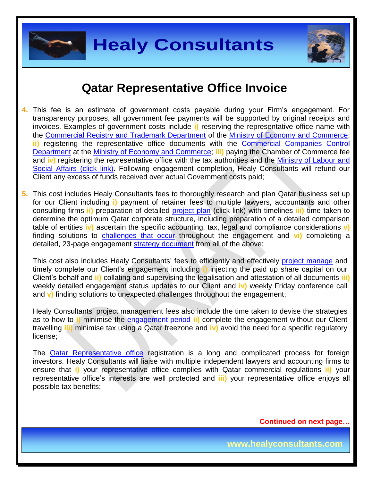



#### **Qatar Representative Office Invoice**

- **4.** This fee is an estimate of government costs payable during your Firm's engagement. For transparency purposes, all government fee payments will be supported by original receipts and invoices. Examples of government costs include **i)** reserving the representative office name with the [Commercial Registry and Trademark Department](http://www.mec.gov.qa/en/departments/administration_Trade/registration-and-license-business) of the [Ministry of Economy and Commerce;](http://www.mec.gov.qa/en/) **ii)** registering the representative office documents with the [Commercial Companies Control](http://www.mec.gov.qa/en/departments/administration_Trade/companies-control)  [Department](http://www.mec.gov.qa/en/departments/administration_Trade/companies-control) at the [Ministry of Economy and Commerce;](http://www.mec.gov.qa/English/Pages/Home.aspx) **iii)** paying the Chamber of Commerce fee and **iv)** registering the representative office with the tax authorities and the [Ministry of Labour and](http://www.mol.gov.qa/)  [Social Affairs \(click link\).](http://www.mol.gov.qa/) Following engagement completion, Healy Consultants will refund our Client any excess of funds received over actual Government costs paid;
- **5.** This cost includes Healy Consultants fees to thoroughly research and plan Qatar business set up for our Client including **i)** payment of retainer fees to multiple lawyers, accountants and other consulting firms **ii)** preparation of detailed [project plan](http://www.healyconsultants.com/index-important-links/example-project-plan/) (click link) with timelines **iii)** time taken to determine the optimum Qatar corporate structure, including preparation of a detailed comparison table of entities **iv)** ascertain the specific accounting, tax, legal and compliance considerations **v)** finding solutions to [challenges that occur](http://www.healyconsultants.com/engagement-project-management/) throughout the engagement and **vi)** completing a detailed, 23-page engagement [strategy document](http://www.healyconsultants.com/engagement-strategy/) from all of the above;

This cost also includes Healy Consultants' fees to efficiently and effectively [project manage](http://www.healyconsultants.com/project-manage-engagements/) and timely complete our Client's engagement including **i)** injecting the paid up share capital on our Client's behalf and **ii)** collating and supervising the legalisation and attestation of all documents **iii)**  weekly detailed engagement status updates to our Client and **iv)** weekly Friday conference call and **v)** finding solutions to unexpected challenges throughout the engagement;

Healy Consultants' project management fees also include the time taken to devise the strategies as to how to **i)** minimise the [engagement period](http://www.healyconsultants.com/qatar-company-registration/fees-timelines/#timelines) **ii)** complete the engagement without our Client travelling **iii)** minimise tax using a Qatar freezone and **iv)** avoid the need for a specific regulatory license;

The [Qatar Representative office](http://www.healyconsultants.com/qatar-company-registration/) registration is a long and complicated process for foreign investors. Healy Consultants will liaise with multiple independent lawyers and accounting firms to ensure that **i)** your representative office complies with Qatar commercial regulations **ii)** your representative office's interests are well protected and **iii)** your representative office enjoys all possible tax benefits;

**Continued on next page…**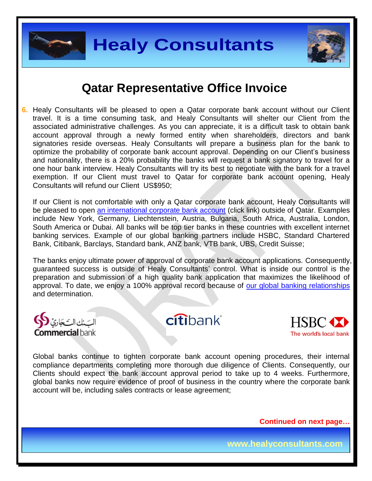



#### **Qatar Representative Office Invoice**

**6.** Healy Consultants will be pleased to open a Qatar corporate bank account without our Client travel. It is a time consuming task, and Healy Consultants will shelter our Client from the associated administrative challenges. As you can appreciate, it is a difficult task to obtain bank account approval through a newly formed entity when shareholders, directors and bank signatories reside overseas. Healy Consultants will prepare a business plan for the bank to optimize the probability of corporate bank account approval. Depending on our Client's business and nationality, there is a 20% probability the banks will request a bank signatory to travel for a one hour bank interview. Healy Consultants will try its best to negotiate with the bank for a travel exemption. If our Client must travel to Qatar for corporate bank account opening, Healy Consultants will refund our Client US\$950;

If our Client is not comfortable with only a Qatar corporate bank account, Healy Consultants will be pleased to open [an international corporate bank account](http://www.healyconsultants.com/international-banking/) (click link) outside of Qatar. Examples include New York, Germany, Liechtenstein, Austria, Bulgaria, South Africa, Australia, London, South America or Dubai. All banks will be top tier banks in these countries with excellent internet banking services. Example of our global banking partners include HSBC, Standard Chartered Bank, Citibank, Barclays, Standard bank, ANZ bank, VTB bank, UBS, Credit Suisse;

The banks enjoy ultimate power of approval of corporate bank account applications. Consequently, guaranteed success is outside of Healy Consultants' control. What is inside our control is the preparation and submission of a high quality bank application that maximizes the likelihood of approval. To date, we enjoy a 100% approval record because of [our global banking relationships](http://www.healyconsultants.com/international-banking/corporate-accounts/) and determination.



citibank®



Global banks continue to tighten corporate bank account opening procedures, their internal compliance departments completing more thorough due diligence of Clients. Consequently, our Clients should expect the bank account approval period to take up to 4 weeks. Furthermore, global banks now require evidence of proof of business in the country where the corporate bank account will be, including sales contracts or lease agreement;

**Continued on next page…**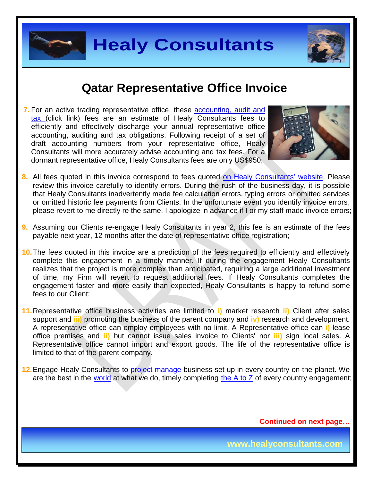



#### **Qatar Representative Office Invoice**

**7.** For an active trading representative office, these [accounting, audit and](http://www.healyconsultants.com/qatar-company-registration/accounting-legal/)  [tax](http://www.healyconsultants.com/qatar-company-registration/accounting-legal/) (click link) fees are an estimate of Healy Consultants fees to efficiently and effectively discharge your annual representative office accounting, auditing and tax obligations. Following receipt of a set of draft accounting numbers from your representative office, Healy Consultants will more accurately advise accounting and tax fees. For a dormant representative office, Healy Consultants fees are only US\$950;



- 8. All fees quoted in this invoice correspond to fees quoted [on Healy Consultants' website.](http://www.healyconsultants.com/company-registration-fees/) Please review this invoice carefully to identify errors. During the rush of the business day, it is possible that Healy Consultants inadvertently made fee calculation errors, typing errors or omitted services or omitted historic fee payments from Clients. In the unfortunate event you identify invoice errors, please revert to me directly re the same. I apologize in advance if I or my staff made invoice errors;
- **9.** Assuming our Clients re-engage Healy Consultants in year 2, this fee is an estimate of the fees payable next year, 12 months after the date of representative office registration;
- **10.**The fees quoted in this invoice are a prediction of the fees required to efficiently and effectively complete this engagement in a timely manner. If during the engagement Healy Consultants realizes that the project is more complex than anticipated, requiring a large additional investment of time, my Firm will revert to request additional fees. If Healy Consultants completes the engagement faster and more easily than expected, Healy Consultants is happy to refund some fees to our Client;
- **11.**Representative office business activities are limited to **i)** market research **ii)** Client after sales support and **iii)** promoting the business of the parent company and **iv)** research and development. A representative office can employ employees with no limit. A Representative office can **i)** lease office premises and **ii)** but cannot issue sales invoice to Clients' nor **iii)** sign local sales. A Representative office cannot import and export goods. The life of the representative office is limited to that of the parent company.
- **12.**Engage Healy Consultants to [project manage](http://www.healyconsultants.com/project-manage-engagements/) business set up in every country on the planet. We are the best in the [world](http://www.healyconsultants.com/best-in-the-world/) at what we do, timely completing [the A to Z](http://www.healyconsultants.com/a-to-z-of-business-set-up/) of every country engagement;

**Continued on next page…**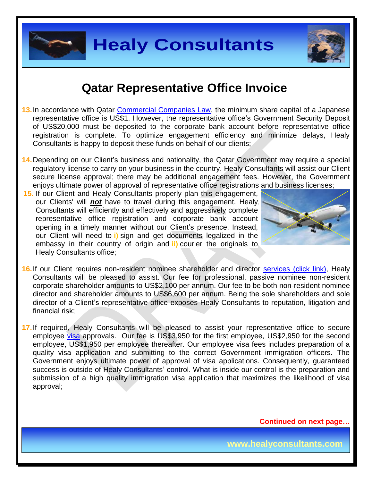



#### **Qatar Representative Office Invoice**

- **13.** In accordance with Qatar [Commercial Companies Law,](http://www.qcb.gov.qa/English/Documents/QCB%20Law/Commercial_companies_law_En.pdf) the minimum share capital of a Japanese representative office is US\$1. However, the representative office's Government Security Deposit of US\$20,000 must be deposited to the corporate bank account before representative office registration is complete. To optimize engagement efficiency and minimize delays, Healy Consultants is happy to deposit these funds on behalf of our clients;
- **14.** Depending on our Client's business and nationality, the Qatar Government may require a special regulatory license to carry on your business in the country. Healy Consultants will assist our Client secure license approval; there may be additional engagement fees. However, the Government enjoys ultimate power of approval of representative office registrations and business licenses;
- **15.** If our Client and Healy Consultants properly plan this engagement, our Clients' will *not* have to travel during this engagement. Healy Consultants will efficiently and effectively and aggressively complete representative office registration and corporate bank account opening in a timely manner without our Client's presence. Instead, our Client will need to **i)** sign and get documents legalized in the embassy in their country of origin and **ii)** courier the originals to Healy Consultants office;



- 16. If our Client requires non-resident nominee shareholder and director services [\(click link\),](http://www.healyconsultants.com/corporate-outsourcing-services/nominee-shareholders-directors/) Healy Consultants will be pleased to assist. Our fee for professional, passive nominee non-resident corporate shareholder amounts to US\$2,100 per annum. Our fee to be both non-resident nominee director and shareholder amounts to US\$6,600 per annum. Being the sole shareholders and sole director of a Client's representative office exposes Healy Consultants to reputation, litigation and financial risk;
- **17.** If required, Healy Consultants will be pleased to assist your representative office to secure employee [visa](http://www.healyconsultants.com/qatar-company-registration/employment-visas/) approvals. Our fee is US\$3,950 for the first employee, US\$2,950 for the second employee, US\$1,950 per employee thereafter. Our employee visa fees includes preparation of a quality visa application and submitting to the correct Government immigration officers. The Government enjoys ultimate power of approval of visa applications. Consequently, guaranteed success is outside of Healy Consultants' control. What is inside our control is the preparation and submission of a high quality immigration visa application that maximizes the likelihood of visa approval;

**Continued on next page…**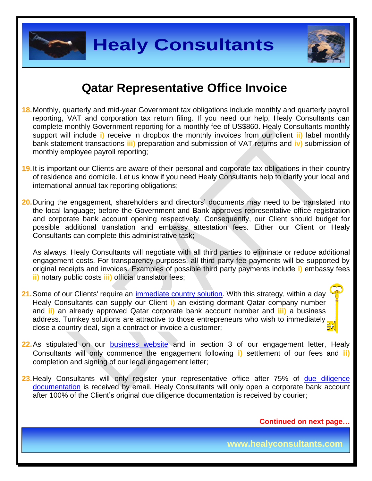



#### **Qatar Representative Office Invoice**

- **18.** Monthly, quarterly and mid-year Government tax obligations include monthly and quarterly payroll reporting, VAT and corporation tax return filing. If you need our help, Healy Consultants can complete monthly Government reporting for a monthly fee of US\$860. Healy Consultants monthly support will include **i)** receive in dropbox the monthly invoices from our client **ii)** label monthly bank statement transactions **iii)** preparation and submission of VAT returns and **iv)** submission of monthly employee payroll reporting;
- **19.** It is important our Clients are aware of their personal and corporate tax obligations in their country of residence and domicile. Let us know if you need Healy Consultants help to clarify your local and international annual tax reporting obligations;
- **20.** During the engagement, shareholders and directors' documents may need to be translated into the local language; before the Government and Bank approves representative office registration and corporate bank account opening respectively. Consequently, our Client should budget for possible additional translation and embassy attestation fees. Either our Client or Healy Consultants can complete this administrative task;

As always, Healy Consultants will negotiate with all third parties to eliminate or reduce additional engagement costs. For transparency purposes, all third party fee payments will be supported by original receipts and invoices. Examples of possible third party payments include **i)** embassy fees **ii)** notary public costs **iii)** official translator fees;

- **21.**Some of our Clients' require an [immediate country solution.](http://www.healyconsultants.com/turnkey-solutions/) With this strategy, within a day Healy Consultants can supply our Client **i)** an existing dormant Qatar company number and **ii)** an already approved Qatar corporate bank account number and **iii)** a business address. Turnkey solutions are attractive to those entrepreneurs who wish to immediately close a country deal, sign a contract or invoice a customer;
- **22.** As stipulated on our **[business website](http://www.healyconsultants.com/)** and in section 3 of our engagement letter, Healy Consultants will only commence the engagement following **i)** settlement of our fees and **ii)** completion and signing of our legal engagement letter;
- **23.** Healy Consultants will only register your representative office after 75% of [due diligence](http://www.healyconsultants.com/due-diligence/)  [documentation](http://www.healyconsultants.com/due-diligence/) is received by email. Healy Consultants will only open a corporate bank account after 100% of the Client's original due diligence documentation is received by courier;

**Continued on next page…**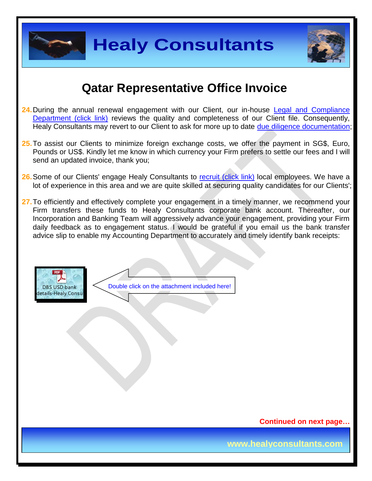



### **Qatar Representative Office Invoice**

- 24. During the annual renewal engagement with our Client, our in-house Legal and Compliance [Department \(click link\)](http://www.healyconsultants.com/about-us/key-personnel/cai-xin-profile/) reviews the quality and completeness of our Client file. Consequently, Healy Consultants may revert to our Client to ask for more up to date [due diligence documentation;](http://www.healyconsultants.com/due-diligence/)
- **25.** To assist our Clients to minimize foreign exchange costs, we offer the payment in SG\$, Euro, Pounds or US\$. Kindly let me know in which currency your Firm prefers to settle our fees and I will send an updated invoice, thank you;
- 26. Some of our Clients' engage Healy Consultants to [recruit \(click link\)](http://www.healyconsultants.com/corporate-outsourcing-services/how-we-help-our-clients-recruit-quality-employees/) local employees. We have a lot of experience in this area and we are quite skilled at securing quality candidates for our Clients';
- 27. To efficiently and effectively complete your engagement in a timely manner, we recommend your Firm transfers these funds to Healy Consultants corporate bank account. Thereafter, our Incorporation and Banking Team will aggressively advance your engagement, providing your Firm daily feedback as to engagement status. I would be grateful if you email us the bank transfer advice slip to enable my Accounting Department to accurately and timely identify bank receipts:



Double click on the attachment included here!

**Continued on next page…**